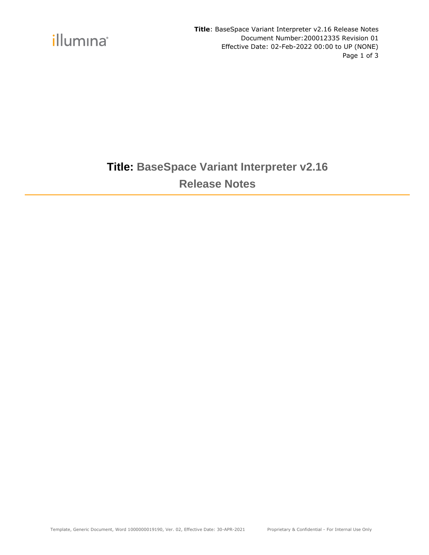

**Title**: BaseSpace Variant Interpreter v2.16 Release Notes Document Number:200012335 Revision 01 Effective Date: 02-Feb-2022 00:00 to UP (NONE) Page 1 of 3

### **Title: BaseSpace Variant Interpreter v2.16 Release Notes**

Template, Generic Document, Word 1000000019190, Ver. 02, Effective Date: 30-APR-2021 Proprietary & Confidential - For Internal Use Only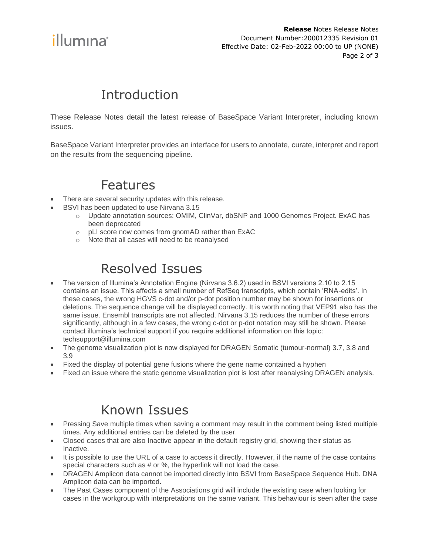

**Release** Notes Release Notes Document Number:200012335 Revision 01 Effective Date: 02-Feb-2022 00:00 to UP (NONE) Page 2 of 3

# **Introduction**

These Release Notes detail the latest release of BaseSpace Variant Interpreter, including known issues.

BaseSpace Variant Interpreter provides an interface for users to annotate, curate, interpret and report on the results from the sequencing pipeline.

#### Features

- There are several security updates with this release.
- BSVI has been updated to use Nirvana 3.15
	- o Update annotation sources: OMIM, ClinVar, dbSNP and 1000 Genomes Project. ExAC has been deprecated
	- o pLI score now comes from gnomAD rather than ExAC
	- o Note that all cases will need to be reanalysed

# Resolved Issues

- The version of Illumina's Annotation Engine (Nirvana 3.6.2) used in BSVI versions 2.10 to 2.15 contains an issue. This affects a small number of RefSeq transcripts, which contain 'RNA-edits'. In these cases, the wrong HGVS c-dot and/or p-dot position number may be shown for insertions or deletions. The sequence change will be displayed correctly. It is worth noting that VEP91 also has the same issue. Ensembl transcripts are not affected. Nirvana 3.15 reduces the number of these errors significantly, although in a few cases, the wrong c-dot or p-dot notation may still be shown. Please contact illumina's technical support if you require additional information on this topic: techsupport@illumina.com
- The genome visualization plot is now displayed for DRAGEN Somatic (tumour-normal) 3.7, 3.8 and 3.9
- Fixed the display of potential gene fusions where the gene name contained a hyphen
- Fixed an issue where the static genome visualization plot is lost after reanalysing DRAGEN analysis.

#### Known Issues

- Pressing Save multiple times when saving a comment may result in the comment being listed multiple times. Any additional entries can be deleted by the user.
- Closed cases that are also Inactive appear in the default registry grid, showing their status as Inactive.
- It is possible to use the URL of a case to access it directly. However, if the name of the case contains special characters such as # or %, the hyperlink will not load the case.
- DRAGEN Amplicon data cannot be imported directly into BSVI from BaseSpace Sequence Hub. DNA Amplicon data can be imported.
- The Past Cases component of the Associations grid will include the existing case when looking for cases in the workgroup with interpretations on the same variant. This behaviour is seen after the case